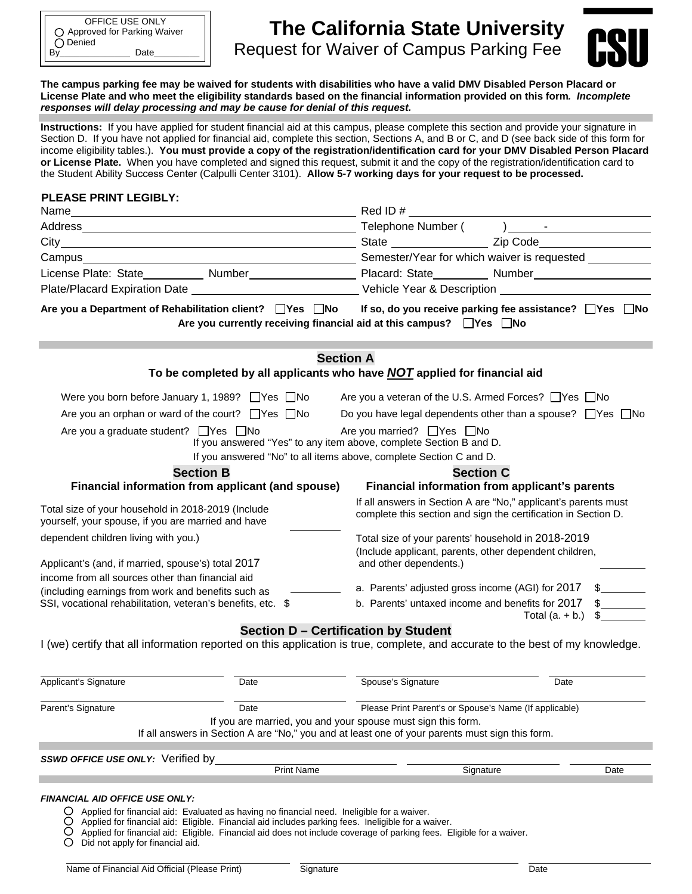# **The California State University**  By\_\_\_\_\_\_\_\_\_\_\_\_\_\_ Date\_\_\_\_\_\_\_\_\_ CSURequest for Waiver of Campus Parking Fee



**The campus parking fee may be waived for students with disabilities who have a valid DMV Disabled Person Placard or License Plate and who meet the eligibility standards based on the financial information provided on this form***. Incomplete responses will delay processing and may be cause for denial of this request.* 

**Instructions:** If you have applied for student financial aid at this campus, please complete this section and provide your signature in Section D. If you have not applied for financial aid, complete this section, Sections A, and B or C, and D (see back side of this form for income eligibility tables.). **You must provide a copy of the registration/identification card for your DMV Disabled Person Placard or License Plate.** When you have completed and signed this request, submit it and the copy of the registration/identification card to the Student Ability Success Center (Calpulli Center 3101). **Allow 5-7 working days for your request to be processed.** 

#### **PLEASE PRINT LEGIBLY:**

| Name<br><u> 1989 - Johann Barn, mars ann an t-Amhain an t-Amhain ann an t-Amhain an t-Amhain an t-Amhain an t-Amhain an t-</u>                                                     | Red ID#                                                                                                                                              |  |  |  |
|------------------------------------------------------------------------------------------------------------------------------------------------------------------------------------|------------------------------------------------------------------------------------------------------------------------------------------------------|--|--|--|
|                                                                                                                                                                                    |                                                                                                                                                      |  |  |  |
|                                                                                                                                                                                    |                                                                                                                                                      |  |  |  |
|                                                                                                                                                                                    |                                                                                                                                                      |  |  |  |
| License Plate: State___________ Number_______________________ Placard: State__________ Number_________________                                                                     |                                                                                                                                                      |  |  |  |
|                                                                                                                                                                                    |                                                                                                                                                      |  |  |  |
| Are you a Department of Rehabilitation client? □Yes □No                                                                                                                            | If so, do you receive parking fee assistance? $\Box$ Yes $\Box$ No<br>Are you currently receiving financial aid at this campus? $\Box$ Yes $\Box$ No |  |  |  |
| <b>Section A</b><br>To be completed by all applicants who have <b>NOT</b> applied for financial aid                                                                                |                                                                                                                                                      |  |  |  |
| Were you born before January 1, 1989? □ Yes □ No                                                                                                                                   | Are you a veteran of the U.S. Armed Forces? □ Yes □ No                                                                                               |  |  |  |
| Are you an orphan or ward of the court? $\Box$ Yes $\Box$ No<br>Do you have legal dependents other than a spouse? $\Box$ Yes $\Box$ No                                             |                                                                                                                                                      |  |  |  |
| Are you a graduate student? □ Yes □ No<br>If you answered "Yes" to any item above, complete Section B and D.<br>If you answered "No" to all items above, complete Section C and D. | Are you married? $\Box$ Yes $\Box$ No                                                                                                                |  |  |  |
| <b>Section B</b>                                                                                                                                                                   | <b>Section C</b>                                                                                                                                     |  |  |  |
| Financial information from applicant (and spouse)                                                                                                                                  | Financial information from applicant's parents                                                                                                       |  |  |  |
| Total size of your household in 2018-2019 (Include<br>yourself, your spouse, if you are married and have                                                                           | If all answers in Section A are "No," applicant's parents must<br>complete this section and sign the certification in Section D.                     |  |  |  |
| dependent children living with you.)                                                                                                                                               | Total size of your parents' household in 2018-2019                                                                                                   |  |  |  |
| Applicant's (and, if married, spouse's) total 2017                                                                                                                                 | (Include applicant, parents, other dependent children,<br>and other dependents.)                                                                     |  |  |  |
| income from all sources other than financial aid                                                                                                                                   | a. Parents' adjusted gross income (AGI) for 2017<br>$\sim$                                                                                           |  |  |  |
| (including earnings from work and benefits such as<br>SSI, vocational rehabilitation, veteran's benefits, etc. \$                                                                  | $\frac{1}{2}$<br>b. Parents' untaxed income and benefits for 2017<br>$\mathbb{S}$<br>Total $(a. + b.)$                                               |  |  |  |
| <b>Section D - Certification by Student</b><br>I (we) certify that all information reported on this application is true, complete, and accurate to the best of my knowledge.       |                                                                                                                                                      |  |  |  |

| Applicant's Signature                    | Date                                                                                       | Spouse's Signature                                                                                                                                                                                                         | Date |
|------------------------------------------|--------------------------------------------------------------------------------------------|----------------------------------------------------------------------------------------------------------------------------------------------------------------------------------------------------------------------------|------|
| Parent's Signature                       | Date                                                                                       | Please Print Parent's or Spouse's Name (If applicable)                                                                                                                                                                     |      |
|                                          |                                                                                            | If you are married, you and your spouse must sign this form.<br>If all answers in Section A are "No," you and at least one of your parents must sign this form.                                                            |      |
| <b>SSWD OFFICE USE ONLY:</b> Verified by | <b>Print Name</b>                                                                          | Signature                                                                                                                                                                                                                  | Date |
| <b>FINANCIAL AID OFFICE USE ONLY:</b>    |                                                                                            |                                                                                                                                                                                                                            |      |
|                                          | Applied for financial aid: Evaluated as having no financial need. Ineligible for a waiver. | Applied for financial aid: Eligible. Financial aid includes parking fees. Ineligible for a waiver.<br>Applied for financial aid: Eligible. Financial aid does not include coverage of parking fees. Eligible for a waiver. |      |

Did not apply for financial aid.